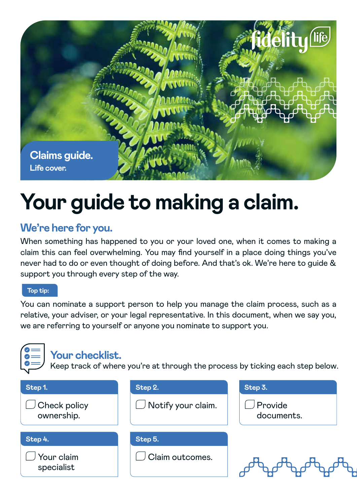

# **Your guide to making a claim.**

# **We're here for you.**

When something has happened to you or your loved one, when it comes to making a claim this can feel overwhelming. You may find yourself in a place doing things you've never had to do or even thought of doing before. And that's ok. We're here to guide & support you through every step of the way.

#### **Top tip:**

You can nominate a support person to help you manage the claim process, such as a relative, your adviser, or your legal representative. In this document, when we say you, we are referring to yourself or anyone you nominate to support you.

| Your checklist.            |                    | Keep track of where you're at through the process by ticking each step below. |
|----------------------------|--------------------|-------------------------------------------------------------------------------|
| Step 1.                    | Step 2.            | Step 3.                                                                       |
| Check policy<br>ownership. | Notify your claim. | Provide<br>documents.                                                         |
| Step 4.                    | Step 5.            |                                                                               |
| Your claim<br>specialist   | Claim outcomes.    |                                                                               |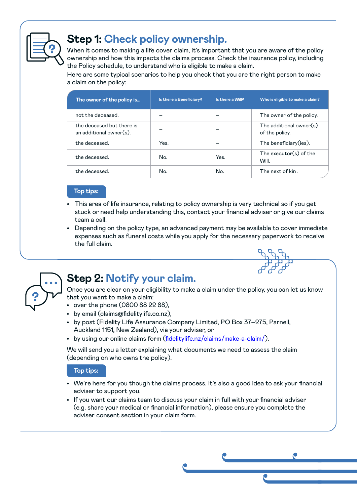

# **Step 1: Check policy ownership.**

When it comes to making a life cover claim, it's important that you are aware of the policy ownership and how this impacts the claims process. Check the insurance policy, including the Policy schedule, to understand who is eligible to make a claim.

Here are some typical scenarios to help you check that you are the right person to make a claim on the policy:

| The owner of the policy is                           | Is there a Beneficiary? | Is there a Will? | Who is eligible to make a claim?             |
|------------------------------------------------------|-------------------------|------------------|----------------------------------------------|
| not the deceased.                                    |                         |                  | The owner of the policy.                     |
| the deceased but there is<br>an additional owner(s). |                         |                  | The additional owner $(s)$<br>of the policy. |
| the deceased.                                        | Yes.                    |                  | The beneficiary (ies).                       |
| the deceased.                                        | No.                     | Yes.             | The executor $(s)$ of the<br>Will.           |
| the deceased.                                        | No.                     | No.              | The next of kin.                             |

#### **Top tips:**

- This area of life insurance, relating to policy ownership is very technical so if you get stuck or need help understanding this, contact your financial adviser or give our claims team a call.
- Depending on the policy type, an advanced payment may be available to cover immediate expenses such as funeral costs while you apply for the necessary paperwork to receive the full claim.



## **Step 2: Notify your claim.**

Once you are clear on your eligibility to make a claim under the policy, you can let us know that you want to make a claim:

- over the phone (0800 88 22 88),
- by email (claims@fidelitylife.co.nz),
- by post (Fidelity Life Assurance Company Limited, PO Box 37–275, Parnell, Auckland 1151, New Zealand), via your adviser, or
- by using our online claims form (fidelitylife.nz/claims/make-a-claim/).

We will send you a letter explaining what documents we need to assess the claim (depending on who owns the policy).

#### **Top tips:**

- We're here for you though the claims process. It's also a good idea to ask your financial adviser to support you.
- If you want our claims team to discuss your claim in full with your financial adviser (e.g. share your medical or financial information), please ensure you complete the adviser consent section in your claim form.